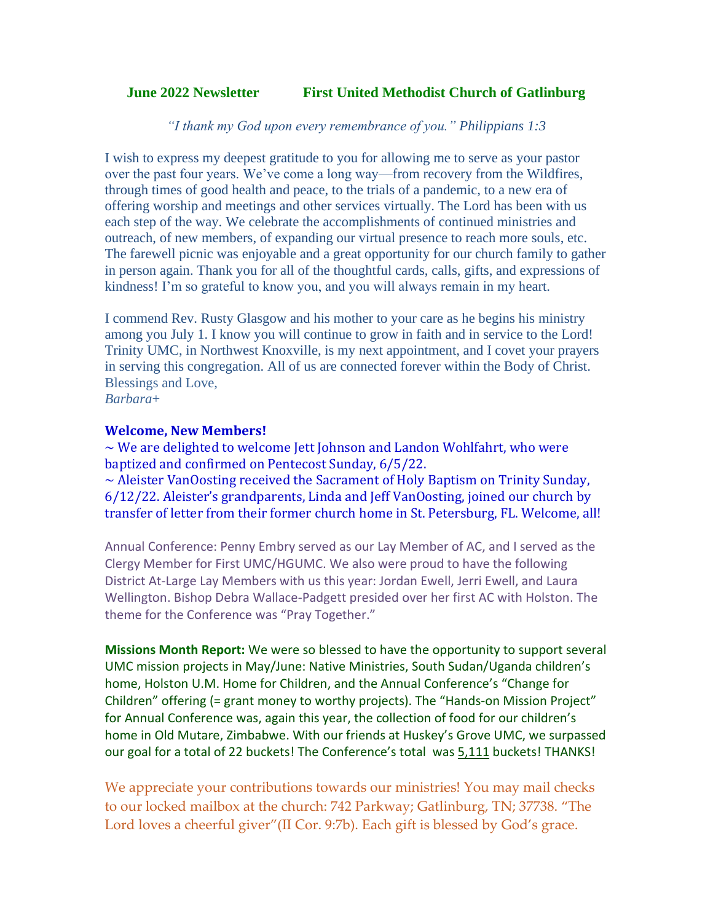## **June 2022 Newsletter First United Methodist Church of Gatlinburg**

*"I thank my God upon every remembrance of you." Philippians 1:3*

I wish to express my deepest gratitude to you for allowing me to serve as your pastor over the past four years. We've come a long way—from recovery from the Wildfires, through times of good health and peace, to the trials of a pandemic, to a new era of offering worship and meetings and other services virtually. The Lord has been with us each step of the way. We celebrate the accomplishments of continued ministries and outreach, of new members, of expanding our virtual presence to reach more souls, etc. The farewell picnic was enjoyable and a great opportunity for our church family to gather in person again. Thank you for all of the thoughtful cards, calls, gifts, and expressions of kindness! I'm so grateful to know you, and you will always remain in my heart.

I commend Rev. Rusty Glasgow and his mother to your care as he begins his ministry among you July 1. I know you will continue to grow in faith and in service to the Lord! Trinity UMC, in Northwest Knoxville, is my next appointment, and I covet your prayers in serving this congregation. All of us are connected forever within the Body of Christ. Blessings and Love,

*Barbara*+

## **Welcome, New Members!**

 $\sim$  We are delighted to welcome Jett Johnson and Landon Wohlfahrt, who were baptized and confirmed on Pentecost Sunday, 6/5/22. ~ Aleister VanOosting received the Sacrament of Holy Baptism on Trinity Sunday, 6/12/22. Aleister's grandparents, Linda and Jeff VanOosting, joined our church by

Annual Conference: Penny Embry served as our Lay Member of AC, and I served as the Clergy Member for First UMC/HGUMC. We also were proud to have the following District At-Large Lay Members with us this year: Jordan Ewell, Jerri Ewell, and Laura Wellington. Bishop Debra Wallace-Padgett presided over her first AC with Holston. The theme for the Conference was "Pray Together."

transfer of letter from their former church home in St. Petersburg, FL. Welcome, all!

**Missions Month Report:** We were so blessed to have the opportunity to support several UMC mission projects in May/June: Native Ministries, South Sudan/Uganda children's home, Holston U.M. Home for Children, and the Annual Conference's "Change for Children" offering (= grant money to worthy projects). The "Hands-on Mission Project" for Annual Conference was, again this year, the collection of food for our children's home in Old Mutare, Zimbabwe. With our friends at Huskey's Grove UMC, we surpassed our goal for a total of 22 buckets! The Conference's total was 5,111 buckets! THANKS!

We appreciate your contributions towards our ministries! You may mail checks to our locked mailbox at the church: 742 Parkway; Gatlinburg, TN; 37738. "The Lord loves a cheerful giver"(II Cor. 9:7b). Each gift is blessed by God's grace.